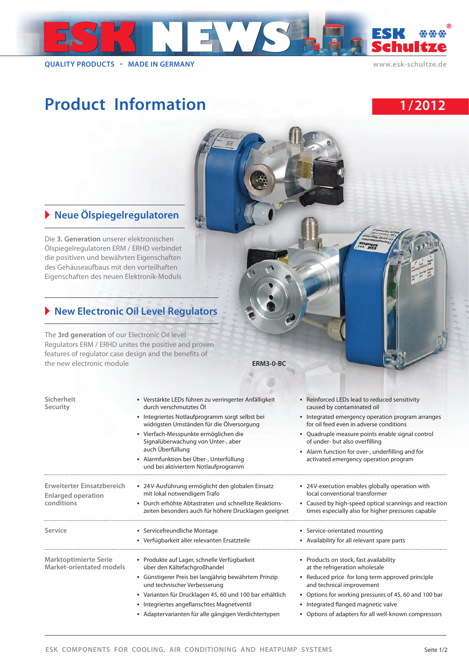

**QUALITY PRODUCTS MADE IN GERMANY www.esk-schultze.de**

## Product Information **1/2012**





## - **Neue Ölspiegelregulatoren**

Die **3. Generation** unserer elektronischen Ölspiegelregulatoren ERM / ERHD verbindet die positiven und bewährten Eigenschaften des Gehäuseaufbaus mit den vorteilhaften Eigenschaften des neuen Elektronik-Moduls

## - **New Electronic Oil Level Regulators**

The **3rd generation** of our Electronic Oil level Regulators ERM / ERHD unites the positive and proven features of regulator case design and the benefits of the new electronic module **ERM3-0-BC**

| Sicherheit<br>Security                                   | • Verstärkte LEDs führen zu verringerter Anfälligkeit<br>durch verschmutztes Öl                               | • Reinforced LEDs lead to reduced sensitivity<br>caused by contaminated oil<br>• Integrated emergency operation program arranges<br>for oil feed even in adverse conditions<br>• Quadruple measure points enable signal control<br>of under- but also overfilling |  |  |  |
|----------------------------------------------------------|---------------------------------------------------------------------------------------------------------------|-------------------------------------------------------------------------------------------------------------------------------------------------------------------------------------------------------------------------------------------------------------------|--|--|--|
|                                                          | • Integriertes Notlaufprogramm sorgt selbst bei<br>widrigsten Umständen für die Ölversorgung                  |                                                                                                                                                                                                                                                                   |  |  |  |
|                                                          | • Vierfach-Messpunkte ermöglichen die<br>Signalüberwachung von Unter-, aber                                   |                                                                                                                                                                                                                                                                   |  |  |  |
|                                                          | auch Überfüllung<br>• Alarmfunktion bei Über-, Unterfüllung<br>und bei aktiviertem Notlaufprogramm            | • Alarm function for over-, underfilling and for<br>activated emergency operation program                                                                                                                                                                         |  |  |  |
| Erweiterter Einsatzbereich                               | ■ 24V-Ausführung ermöglicht den globalen Einsatz<br>mit lokal notwendigem Trafo                               | • 24V-execution enables globally operation with<br>local conventional transformer                                                                                                                                                                                 |  |  |  |
| <b>Enlarged operation</b><br>conditions                  | · Durch erhöhte Abtastraten und schnellste Reaktions-<br>zeiten besonders auch für höhere Drucklagen geeignet | • Caused by high-speed optical scannings and reaction<br>times especially also for higher pressures capable                                                                                                                                                       |  |  |  |
| Service                                                  | • Servicefreundliche Montage                                                                                  | • Service-orientated mounting                                                                                                                                                                                                                                     |  |  |  |
|                                                          | • Verfügbarkeit aller relevanten Ersatzteile                                                                  | • Availability for all relevant spare parts                                                                                                                                                                                                                       |  |  |  |
| <b>Marktoptimierte Serie</b><br>Market-orientated models | • Produkte auf Lager, schnelle Verfügbarkeit<br>über den Kältefachgroßhandel                                  | • Products on stock, fast availability<br>at the refrigeration wholesale                                                                                                                                                                                          |  |  |  |
|                                                          | · Günstigerer Preis bei langjährig bewährtem Prinzip<br>und technischer Verbesserung                          | • Reduced price for long term approved principle<br>and technical improvement                                                                                                                                                                                     |  |  |  |
|                                                          | • Varianten für Drucklagen 45, 60 und 100 bar erhältlich                                                      | • Options for working pressures of 45, 60 and 100 bar                                                                                                                                                                                                             |  |  |  |
|                                                          | • Integriertes angeflanschtes Magnetventil<br>• Adaptervarianten für alle gängigen Verdichtertypen            | • Integrated flanged magnetic valve<br>• Options of adapters for all well-known compressors                                                                                                                                                                       |  |  |  |